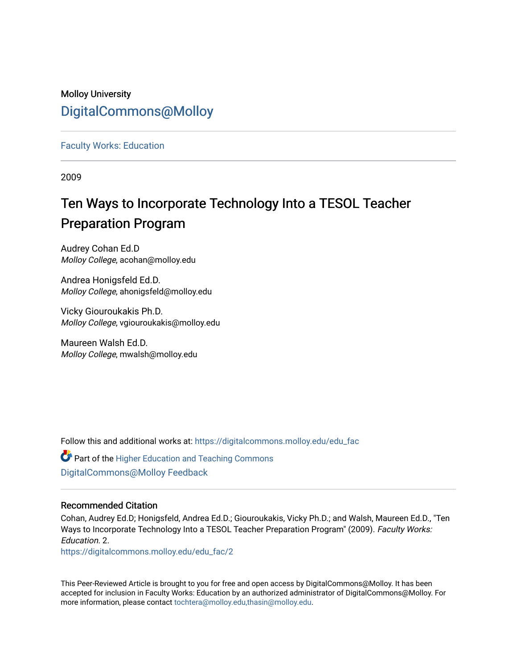## Molloy University [DigitalCommons@Molloy](https://digitalcommons.molloy.edu/)

[Faculty Works: Education](https://digitalcommons.molloy.edu/edu_fac) 

2009

# Ten Ways to Incorporate Technology Into a TESOL Teacher Preparation Program

Audrey Cohan Ed.D Molloy College, acohan@molloy.edu

Andrea Honigsfeld Ed.D. Molloy College, ahonigsfeld@molloy.edu

Vicky Giouroukakis Ph.D. Molloy College, vgiouroukakis@molloy.edu

Maureen Walsh Ed.D. Molloy College, mwalsh@molloy.edu

Follow this and additional works at: [https://digitalcommons.molloy.edu/edu\\_fac](https://digitalcommons.molloy.edu/edu_fac?utm_source=digitalcommons.molloy.edu%2Fedu_fac%2F2&utm_medium=PDF&utm_campaign=PDFCoverPages)

Part of the [Higher Education and Teaching Commons](https://network.bepress.com/hgg/discipline/806?utm_source=digitalcommons.molloy.edu%2Fedu_fac%2F2&utm_medium=PDF&utm_campaign=PDFCoverPages)  [DigitalCommons@Molloy Feedback](https://molloy.libwizard.com/f/dcfeedback)

## Recommended Citation

Cohan, Audrey Ed.D; Honigsfeld, Andrea Ed.D.; Giouroukakis, Vicky Ph.D.; and Walsh, Maureen Ed.D., "Ten Ways to Incorporate Technology Into a TESOL Teacher Preparation Program" (2009). Faculty Works: Education. 2.

[https://digitalcommons.molloy.edu/edu\\_fac/2](https://digitalcommons.molloy.edu/edu_fac/2?utm_source=digitalcommons.molloy.edu%2Fedu_fac%2F2&utm_medium=PDF&utm_campaign=PDFCoverPages)

This Peer-Reviewed Article is brought to you for free and open access by DigitalCommons@Molloy. It has been accepted for inclusion in Faculty Works: Education by an authorized administrator of DigitalCommons@Molloy. For more information, please contact [tochtera@molloy.edu,thasin@molloy.edu.](mailto:tochtera@molloy.edu,thasin@molloy.edu)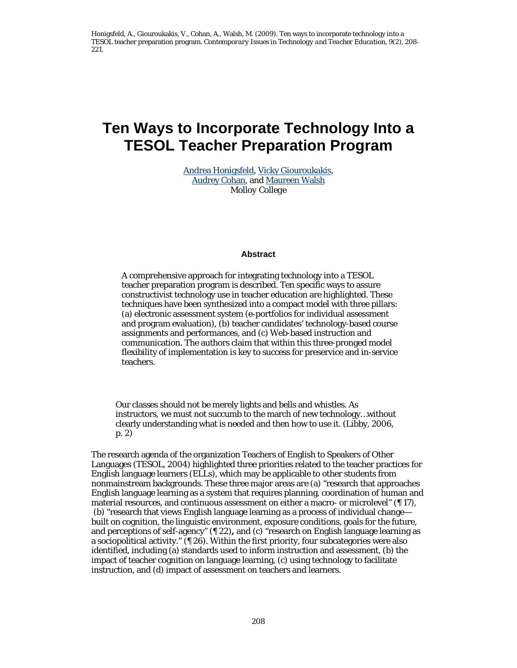## **Ten Ways to Incorporate Technology Into a TESOL Teacher Preparation Program**

Andrea Honigsfeld, Vicky Giouroukakis, Audrey Cohan, and Maureen Walsh *Molloy College* 

#### **Abstract**

A comprehensive approach for integrating technology into a TESOL teacher preparation program is described. Ten specific ways to assure constructivist technology use in teacher education are highlighted. These techniques have been synthesized into a compact model with three pillars: (a) electronic assessment system (e-portfolios for individual assessment and program evaluation), (b) teacher candidates' technology-based course assignments and performances, and (c) Web-based instruction and communication. The authors claim that within this three-pronged model flexibility of implementation is key to success for preservice and in-service teachers.

Our classes should not be merely lights and bells and whistles. As instructors, we must not succumb to the march of new technology…without clearly understanding what is needed and then how to use it. (Libby, 2006, p. 2)

The research agenda of the organization Teachers of English to Speakers of Other Languages (TESOL, 2004) highlighted three priorities related to the teacher practices for English language learners (ELLs), which may be applicable to other students from nonmainstream backgrounds. These three major areas are (a) "research that approaches English language learning as a system that requires planning, coordination of human and material resources, and continuous assessment on either a macro- or microlevel" (¶ 17), (b) "research that views English language learning as a process of individual change built on cognition, the linguistic environment, exposure conditions, goals for the future, and perceptions of self-agency" (¶ 22)**,** and (c) "research on English language learning as a sociopolitical activity." (¶ 26). Within the first priority, four subcategories were also identified, including (a) standards used to inform instruction and assessment, (b) the impact of teacher cognition on language learning, (c) using technology to facilitate instruction, and (d) impact of assessment on teachers and learners.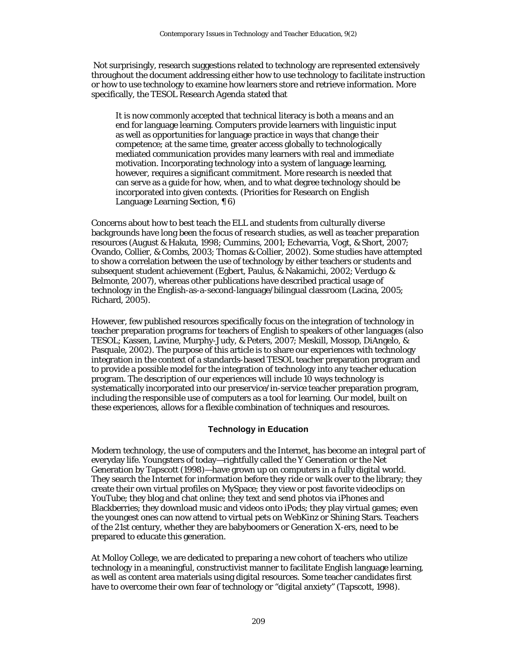Not surprisingly, research suggestions related to technology are represented extensively throughout the document addressing either how to use technology to facilitate instruction or how to use technology to examine how learners store and retrieve information. More specifically, the *TESOL Research Agenda* stated that

It is now commonly accepted that technical literacy is both a means and an end for language learning. Computers provide learners with linguistic input as well as opportunities for language practice in ways that change their competence; at the same time, greater access globally to technologically mediated communication provides many learners with real and immediate motivation. Incorporating technology into a system of language learning, however, requires a significant commitment. More research is needed that can serve as a guide for how, when, and to what degree technology should be incorporated into given contexts. (Priorities for Research on English Language Learning Section*,* ¶ 6)

Concerns about how to best teach the ELL and students from culturally diverse backgrounds have long been the focus of research studies, as well as teacher preparation resources (August & Hakuta, 1998; Cummins, 2001; Echevarria, Vogt, & Short, 2007; Ovando, Collier, & Combs, 2003; Thomas & Collier, 2002). Some studies have attempted to show a correlation between the use of technology by either teachers or students and subsequent student achievement (Egbert, Paulus, & Nakamichi, 2002; Verdugo & Belmonte, 2007), whereas other publications have described practical usage of technology in the English-as-a-second-language/bilingual classroom (Lacina, 2005; Richard, 2005).

However, few published resources specifically focus on the integration of technology in teacher preparation programs for teachers of English to speakers of other languages (also TESOL; Kassen, Lavine, Murphy-Judy, & Peters, 2007; Meskill, Mossop, DiAngelo, & Pasquale, 2002). The purpose of this article is to share our experiences with technology integration in the context of a standards-based TESOL teacher preparation program and to provide a possible model for the integration of technology into any teacher education program. The description of our experiences will include 10 ways technology is systematically incorporated into our preservice/in-service teacher preparation program, including the responsible use of computers as a tool for learning. Our model, built on these experiences, allows for a flexible combination of techniques and resources.

#### **Technology in Education**

Modern technology, the use of computers and the Internet, has become an integral part of everyday life. Youngsters of today—rightfully called the Y Generation or the Net Generation by Tapscott (1998)—have grown up on computers in a fully digital world. They search the Internet for information before they ride or walk over to the library; they create their own virtual profiles on MySpace; they view or post favorite videoclips on YouTube; they blog and chat online; they text and send photos via iPhones and Blackberries; they download music and videos onto iPods; they play virtual games; even the youngest ones can now attend to virtual pets on WebKinz or Shining Stars. Teachers of the 21st century, whether they are babyboomers or Generation X-ers, need to be prepared to educate this generation.

At Molloy College, we are dedicated to preparing a new cohort of teachers who utilize technology in a meaningful, constructivist manner to facilitate English language learning, as well as content area materials using digital resources. Some teacher candidates first have to overcome their own fear of technology or "digital anxiety" (Tapscott, 1998).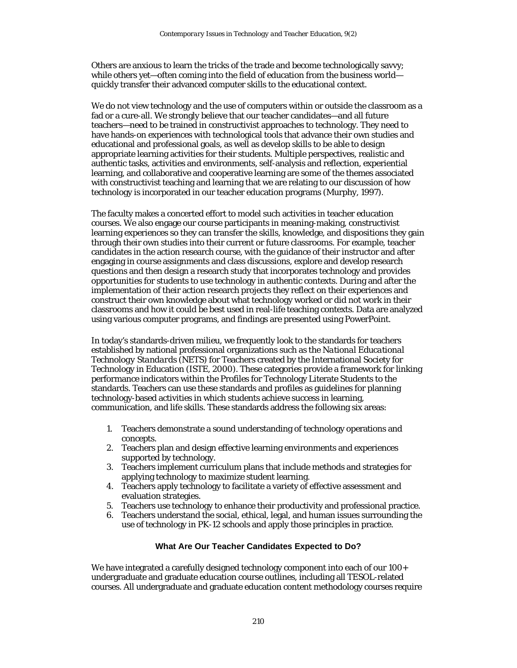Others are anxious to learn the tricks of the trade and become technologically savvy; while others yet—often coming into the field of education from the business world quickly transfer their advanced computer skills to the educational context.

We do not view technology and the use of computers within or outside the classroom as a fad or a cure-all. We strongly believe that our teacher candidates—and all future teachers—need to be trained in constructivist approaches to technology. They need to have hands-on experiences with technological tools that advance their own studies and educational and professional goals, as well as develop skills to be able to design appropriate learning activities for their students. Multiple perspectives, realistic and authentic tasks, activities and environments, self-analysis and reflection, experiential learning, and collaborative and cooperative learning are some of the themes associated with constructivist teaching and learning that we are relating to our discussion of how technology is incorporated in our teacher education programs (Murphy, 1997).

The faculty makes a concerted effort to model such activities in teacher education courses. We also engage our course participants in meaning-making, constructivist learning experiences so they can transfer the skills, knowledge, and dispositions they gain through their own studies into their current or future classrooms. For example, teacher candidates in the action research course, with the guidance of their instructor and after engaging in course assignments and class discussions, explore and develop research questions and then design a research study that incorporates technology and provides opportunities for students to use technology in authentic contexts. During and after the implementation of their action research projects they reflect on their experiences and construct their own knowledge about what technology worked or did not work in their classrooms and how it could be best used in real-life teaching contexts. Data are analyzed using various computer programs, and findings are presented using PowerPoint.

In today's standards-driven milieu, we frequently look to the standards for teachers established by national professional organizations such as the *National Educational Technology Standards* (NETS) for Teachers created by the International Society for Technology in Education (ISTE, 2000). These categories provide a framework for linking performance indicators within the Profiles for Technology Literate Students to the standards. Teachers can use these standards and profiles as guidelines for planning technology-based activities in which students achieve success in learning, communication, and life skills. These standards address the following six areas:

- 1. Teachers demonstrate a sound understanding of technology operations and concepts.
- 2. Teachers plan and design effective learning environments and experiences supported by technology.
- 3. Teachers implement curriculum plans that include methods and strategies for applying technology to maximize student learning.
- 4. Teachers apply technology to facilitate a variety of effective assessment and evaluation strategies.
- 5. Teachers use technology to enhance their productivity and professional practice.
- 6. Teachers understand the social, ethical, legal, and human issues surrounding the use of technology in PK-12 schools and apply those principles in practice.

#### **What Are Our Teacher Candidates Expected to Do?**

We have integrated a carefully designed technology component into each of our 100+ undergraduate and graduate education course outlines, including all TESOL-related courses. All undergraduate and graduate education content methodology courses require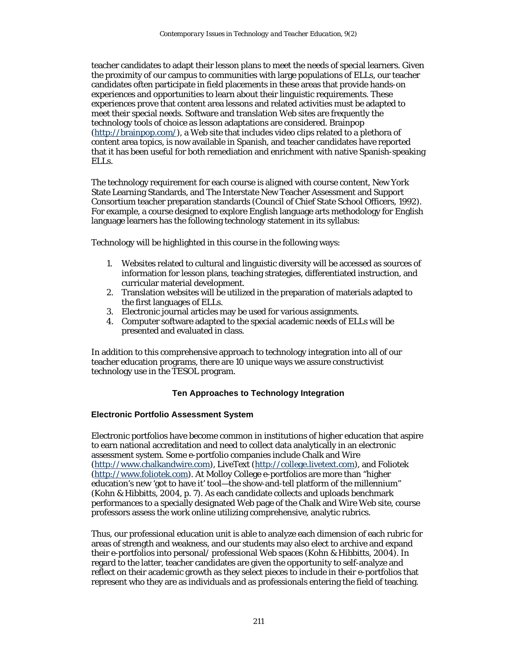teacher candidates to adapt their lesson plans to meet the needs of special learners. Given the proximity of our campus to communities with large populations of ELLs, our teacher candidates often participate in field placements in these areas that provide hands-on experiences and opportunities to learn about their linguistic requirements. These experiences prove that content area lessons and related activities must be adapted to meet their special needs. Software and translation Web sites are frequently the technology tools of choice as lesson adaptations are considered. Brainpop (http://brainpop.com/), a Web site that includes video clips related to a plethora of content area topics, is now available in Spanish, and teacher candidates have reported that it has been useful for both remediation and enrichment with native Spanish-speaking ELLs.

The technology requirement for each course is aligned with course content, New York State Learning Standards, and The Interstate New Teacher Assessment and Support Consortium teacher preparation standards (Council of Chief State School Officers, 1992). For example, a course designed to explore English language arts methodology for English language learners has the following technology statement in its syllabus:

Technology will be highlighted in this course in the following ways:

- 1. Websites related to cultural and linguistic diversity will be accessed as sources of information for lesson plans, teaching strategies, differentiated instruction, and curricular material development.
- 2. Translation websites will be utilized in the preparation of materials adapted to the first languages of ELLs.
- 3. Electronic journal articles may be used for various assignments.
- 4. Computer software adapted to the special academic needs of ELLs will be presented and evaluated in class.

In addition to this comprehensive approach to technology integration into all of our teacher education programs, there are 10 unique ways we assure constructivist technology use in the TESOL program.

#### **Ten Approaches to Technology Integration**

#### **Electronic Portfolio Assessment System**

Electronic portfolios have become common in institutions of higher education that aspire to earn national accreditation and need to collect data analytically in an electronic assessment system. Some e-portfolio companies include Chalk and Wire (http://www.chalkandwire.com), LiveText (http://college.livetext.com), and Foliotek (http://www.foliotek.com). At Molloy College e-portfolios are more than "higher education's new 'got to have it' tool—the show-and-tell platform of the millennium" (Kohn & Hibbitts, 2004, p. 7). As each candidate collects and uploads benchmark performances to a specially designated Web page of the Chalk and Wire Web site, course professors assess the work online utilizing comprehensive, analytic rubrics.

Thus, our professional education unit is able to analyze each dimension of each rubric for areas of strength and weakness, and our students may also elect to archive and expand their e-portfolios into personal/ professional Web spaces (Kohn & Hibbitts, 2004). In regard to the latter, teacher candidates are given the opportunity to self-analyze and reflect on their academic growth as they select pieces to include in their e-portfolios that represent who they are as individuals and as professionals entering the field of teaching.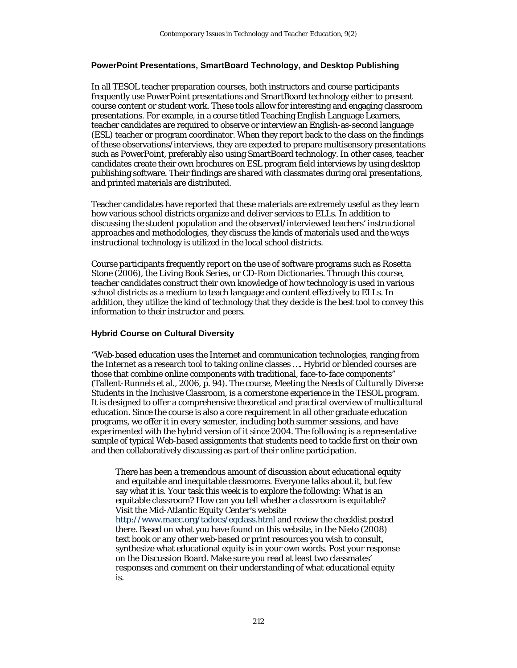#### **PowerPoint Presentations, SmartBoard Technology, and Desktop Publishing**

In all TESOL teacher preparation courses, both instructors and course participants frequently use PowerPoint presentations and SmartBoard technology either to present course content or student work. These tools allow for interesting and engaging classroom presentations. For example, in a course titled Teaching English Language Learners, teacher candidates are required to observe or interview an English-as-second language (ESL) teacher or program coordinator. When they report back to the class on the findings of these observations/interviews, they are expected to prepare multisensory presentations such as PowerPoint, preferably also using SmartBoard technology. In other cases, teacher candidates create their own brochures on ESL program field interviews by using desktop publishing software. Their findings are shared with classmates during oral presentations, and printed materials are distributed.

Teacher candidates have reported that these materials are extremely useful as they learn how various school districts organize and deliver services to ELLs. In addition to discussing the student population and the observed/interviewed teachers' instructional approaches and methodologies, they discuss the kinds of materials used and the ways instructional technology is utilized in the local school districts.

Course participants frequently report on the use of software programs such as Rosetta Stone (2006), the Living Book Series, or CD-Rom Dictionaries. Through this course, teacher candidates construct their own knowledge of how technology is used in various school districts as a medium to teach language and content effectively to ELLs. In addition, they utilize the kind of technology that they decide is the best tool to convey this information to their instructor and peers.

#### **Hybrid Course on Cultural Diversity**

"Web-based education uses the Internet and communication technologies, ranging from the Internet as a research tool to taking online classes …. Hybrid or blended courses are those that combine online components with traditional, face-to-face components" (Tallent-Runnels et al., 2006, p. 94). The course, Meeting the Needs of Culturally Diverse Students in the Inclusive Classroom*,* is a cornerstone experience in the TESOL program. It is designed to offer a comprehensive theoretical and practical overview of multicultural education. Since the course is also a core requirement in all other graduate education programs, we offer it in every semester, including both summer sessions, and have experimented with the hybrid version of it since 2004. The following is a representative sample of typical Web-based assignments that students need to tackle first on their own and then collaboratively discussing as part of their online participation.

There has been a tremendous amount of discussion about educational equity and equitable and inequitable classrooms. Everyone talks about it, but few say what it is. Your task this week is to explore the following: What is an equitable classroom? How can you tell whether a classroom is equitable? Visit the Mid-Atlantic Equity Center's website http://www.maec.org/tadocs/eqclass.html and review the checklist posted there. Based on what you have found on this website, in the Nieto (2008) text book or any other web-based or print resources you wish to consult, synthesize what educational equity is in your own words. Post your response on the Discussion Board. Make sure you read at least two classmates' responses and comment on their understanding of what educational equity is.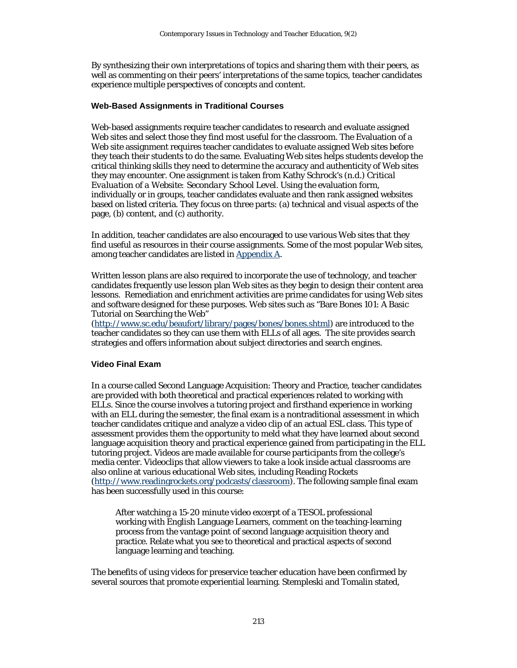By synthesizing their own interpretations of topics and sharing them with their peers, as well as commenting on their peers' interpretations of the same topics, teacher candidates experience multiple perspectives of concepts and content.

#### **Web-Based Assignments in Traditional Courses**

Web-based assignments require teacher candidates to research and evaluate assigned Web sites and select those they find most useful for the classroom. The Evaluation of a Web site assignment requires teacher candidates to evaluate assigned Web sites before they teach their students to do the same. Evaluating Web sites helps students develop the critical thinking skills they need to determine the accuracy and authenticity of Web sites they may encounter. One assignment is taken from Kathy Schrock's (n.d.) *Critical Evaluation of a Website: Secondary School Level.* Using the evaluation form, individually or in groups, teacher candidates evaluate and then rank assigned websites based on listed criteria. They focus on three parts: (a) technical and visual aspects of the page, (b) content, and (c) authority.

In addition, teacher candidates are also encouraged to use various Web sites that they find useful as resources in their course assignments. Some of the most popular Web sites, among teacher candidates are listed in Appendix A.

Written lesson plans are also required to incorporate the use of technology, and teacher candidates frequently use lesson plan Web sites as they begin to design their content area lessons. Remediation and enrichment activities are prime candidates for using Web sites and software designed for these purposes. Web sites such as "Bare Bones 101: A Basic Tutorial on Searching the Web"

(http://www.sc.edu/beaufort/library/pages/bones/bones.shtml) are introduced to the teacher candidates so they can use them with ELLs of all ages. The site provides search strategies and offers information about subject directories and search engines.

## **Video Final Exam**

In a course called Second Language Acquisition: Theory and Practice, teacher candidates are provided with both theoretical and practical experiences related to working with ELLs. Since the course involves a tutoring project and firsthand experience in working with an ELL during the semester, the final exam is a nontraditional assessment in which teacher candidates critique and analyze a video clip of an actual ESL class. This type of assessment provides them the opportunity to meld what they have learned about second language acquisition theory and practical experience gained from participating in the ELL tutoring project. Videos are made available for course participants from the college's media center. Videoclips that allow viewers to take a look inside actual classrooms are also online at various educational Web sites, including Reading Rockets (http://www.readingrockets.org/podcasts/classroom). The following sample final exam has been successfully used in this course:

After watching a 15-20 minute video excerpt of a TESOL professional working with English Language Learners, comment on the teaching-learning process from the vantage point of second language acquisition theory and practice. Relate what you see to theoretical and practical aspects of second language learning and teaching.

The benefits of using videos for preservice teacher education have been confirmed by several sources that promote experiential learning. Stempleski and Tomalin stated,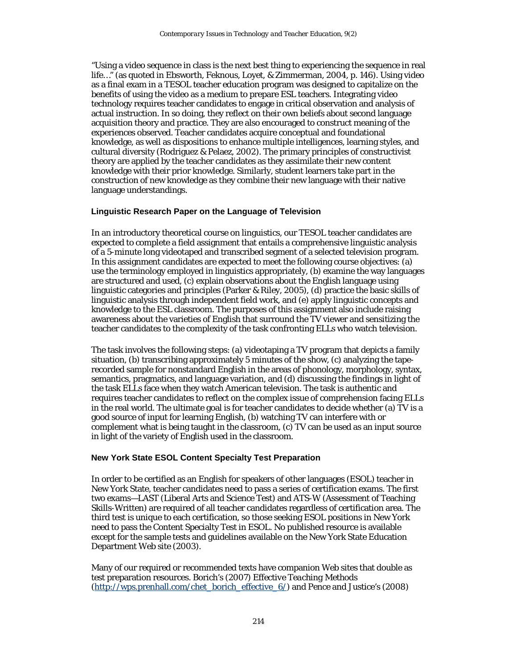"Using a video sequence in class is the next best thing to experiencing the sequence in real life…" (as quoted in Ebsworth, Feknous, Loyet, & Zimmerman, 2004, p. 146). Using video as a final exam in a TESOL teacher education program was designed to capitalize on the benefits of using the video as a medium to prepare ESL teachers. Integrating video technology requires teacher candidates to engage in critical observation and analysis of actual instruction. In so doing, they reflect on their own beliefs about second language acquisition theory and practice. They are also encouraged to construct meaning of the experiences observed. Teacher candidates acquire conceptual and foundational knowledge, as well as dispositions to enhance multiple intelligences, learning styles, and cultural diversity (Rodriguez & Pelaez, 2002). The primary principles of constructivist theory are applied by the teacher candidates as they assimilate their new content knowledge with their prior knowledge. Similarly, student learners take part in the construction of new knowledge as they combine their new language with their native language understandings.

#### **Linguistic Research Paper on the Language of Television**

In an introductory theoretical course on linguistics, our TESOL teacher candidates are expected to complete a field assignment that entails a comprehensive linguistic analysis of a 5-minute long videotaped and transcribed segment of a selected television program. In this assignment candidates are expected to meet the following course objectives: (a) use the terminology employed in linguistics appropriately, (b) examine the way languages are structured and used, (c) explain observations about the English language using linguistic categories and principles (Parker & Riley, 2005), (d) practice the basic skills of linguistic analysis through independent field work, and (e) apply linguistic concepts and knowledge to the ESL classroom. The purposes of this assignment also include raising awareness about the varieties of English that surround the TV viewer and sensitizing the teacher candidates to the complexity of the task confronting ELLs who watch television.

The task involves the following steps: (a) videotaping a TV program that depicts a family situation, (b) transcribing approximately 5 minutes of the show, (c) analyzing the taperecorded sample for nonstandard English in the areas of phonology, morphology, syntax, semantics, pragmatics, and language variation, and (d) discussing the findings in light of the task ELLs face when they watch American television. The task is authentic and requires teacher candidates to reflect on the complex issue of comprehension facing ELLs in the real world. The ultimate goal is for teacher candidates to decide whether (a) TV is a good source of input for learning English, (b) watching TV can interfere with or complement what is being taught in the classroom, (c) TV can be used as an input source in light of the variety of English used in the classroom.

#### **New York State ESOL Content Specialty Test Preparation**

In order to be certified as an English for speakers of other languages (ESOL) teacher in New York State, teacher candidates need to pass a series of certification exams. The first two exams—LAST (Liberal Arts and Science Test) and ATS-W (Assessment of Teaching Skills-Written) are required of all teacher candidates regardless of certification area. The third test is unique to each certification, so those seeking ESOL positions in New York need to pass the Content Specialty Test in ESOL. No published resource is available except for the sample tests and guidelines available on the New York State Education Department Web site (2003).

Many of our required or recommended texts have companion Web sites that double as test preparation resources. Borich's (2007) *Effective Teaching Methods*  (http://wps.prenhall.com/chet\_borich\_effective\_6/) and Pence and Justice's (2008)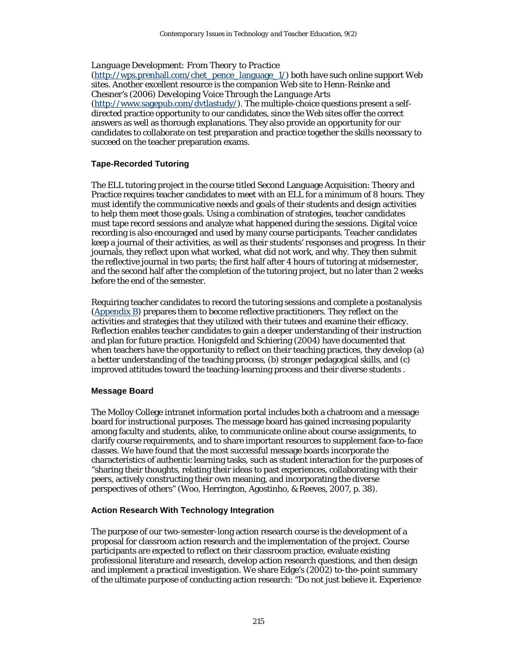## *Language Development: From Theory to Practice*

(http://wps.prenhall.com/chet\_pence\_language\_1/) both have such online support Web sites. Another excellent resource is the companion Web site to Henn-Reinke and Chesner's (2006) *Developing Voice Through the Language Arts*   $(\text{http://www.sagepub.com/dvllastudy/})$ . The multiple-choice questions present a selfdirected practice opportunity to our candidates, since the Web sites offer the correct answers as well as thorough explanations. They also provide an opportunity for our candidates to collaborate on test preparation and practice together the skills necessary to succeed on the teacher preparation exams.

#### **Tape-Recorded Tutoring**

The ELL tutoring project in the course titled Second Language Acquisition: Theory and Practice requires teacher candidates to meet with an ELL for a minimum of 8 hours. They must identify the communicative needs and goals of their students and design activities to help them meet those goals. Using a combination of strategies, teacher candidates must tape record sessions and analyze what happened during the sessions. Digital voice recording is also encouraged and used by many course participants. Teacher candidates keep a journal of their activities, as well as their students' responses and progress. In their journals, they reflect upon what worked, what did not work, and why. They then submit the reflective journal in two parts; the first half after 4 hours of tutoring at midsemester, and the second half after the completion of the tutoring project, but no later than 2 weeks before the end of the semester.

Requiring teacher candidates to record the tutoring sessions and complete a postanalysis (Appendix B) prepares them to become reflective practitioners. They reflect on the activities and strategies that they utilized with their tutees and examine their efficacy. Reflection enables teacher candidates to gain a deeper understanding of their instruction and plan for future practice. Honigsfeld and Schiering (2004) have documented that when teachers have the opportunity to reflect on their teaching practices, they develop (a) a better understanding of the teaching process, (b) stronger pedagogical skills, and (c) improved attitudes toward the teaching-learning process and their diverse students .

#### **Message Board**

The Molloy College intranet information portal includes both a chatroom and a message board for instructional purposes. The message board has gained increasing popularity among faculty and students, alike, to communicate online about course assignments, to clarify course requirements, and to share important resources to supplement face-to-face classes. We have found that the most successful message boards incorporate the characteristics of authentic learning tasks, such as student interaction for the purposes of "sharing their thoughts, relating their ideas to past experiences, collaborating with their peers, actively constructing their own meaning, and incorporating the diverse perspectives of others" (Woo, Herrington, Agostinho, & Reeves, 2007, p. 38).

#### **Action Research With Technology Integration**

The purpose of our two-semester-long action research course is the development of a proposal for classroom action research and the implementation of the project. Course participants are expected to reflect on their classroom practice, evaluate existing professional literature and research, develop action research questions, and then design and implement a practical investigation. We share Edge's (2002) to-the-point summary of the ultimate purpose of conducting action research: "Do not just believe it. Experience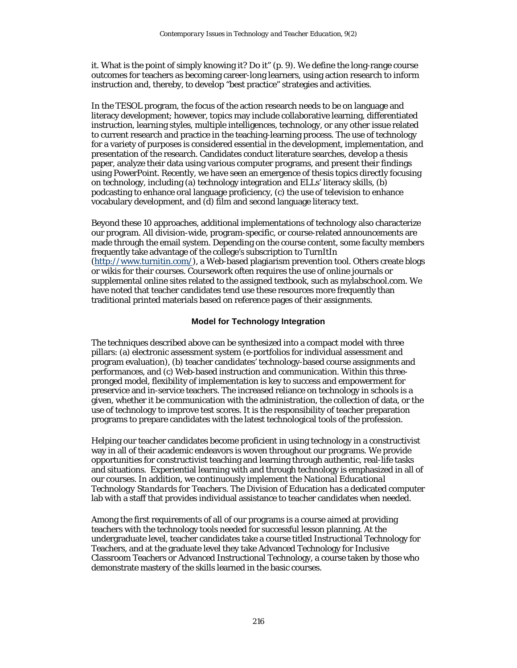it. What is the point of simply knowing it? Do it" (p. 9). We define the long-range course outcomes for teachers as becoming career-long learners, using action research to inform instruction and, thereby, to develop "best practice" strategies and activities.

In the TESOL program, the focus of the action research needs to be on language and literacy development; however, topics may include collaborative learning, differentiated instruction, learning styles, multiple intelligences, technology, or any other issue related to current research and practice in the teaching-learning process. The use of technology for a variety of purposes is considered essential in the development, implementation, and presentation of the research. Candidates conduct literature searches, develop a thesis paper, analyze their data using various computer programs, and present their findings using PowerPoint. Recently, we have seen an emergence of thesis topics directly focusing on technology, including (a) technology integration and ELLs' literacy skills, (b) podcasting to enhance oral language proficiency, (c) the use of television to enhance vocabulary development, and (d) film and second language literacy text.

Beyond these 10 approaches, additional implementations of technology also characterize our program. All division-wide, program-specific, or course-related announcements are made through the email system. Depending on the course content, some faculty members frequently take advantage of the college's subscription to TurnItIn (http://www.turnitin.com/), a Web-based plagiarism prevention tool. Others create blogs or wikis for their courses. Coursework often requires the use of online journals or supplemental online sites related to the assigned textbook, such as mylabschool.com. We have noted that teacher candidates tend use these resources more frequently than traditional printed materials based on reference pages of their assignments.

#### **Model for Technology Integration**

The techniques described above can be synthesized into a compact model with three pillars: (a) electronic assessment system (e-portfolios for individual assessment and program evaluation), (b) teacher candidates' technology-based course assignments and performances, and (c) Web-based instruction and communication. Within this threepronged model, flexibility of implementation is key to success and empowerment for preservice and in-service teachers. The increased reliance on technology in schools is a given, whether it be communication with the administration, the collection of data, or the use of technology to improve test scores. It is the responsibility of teacher preparation programs to prepare candidates with the latest technological tools of the profession.

Helping our teacher candidates become proficient in using technology in a constructivist way in all of their academic endeavors is woven throughout our programs. We provide opportunities for constructivist teaching and learning through authentic, real-life tasks and situations. Experiential learning with and through technology is emphasized in all of our courses. In addition, we continuously implement the *National Educational Technology Standards for Teachers*. The Division of Education has a dedicated computer lab with a staff that provides individual assistance to teacher candidates when needed.

Among the first requirements of all of our programs is a course aimed at providing teachers with the technology tools needed for successful lesson planning. At the undergraduate level, teacher candidates take a course titled Instructional Technology for Teachers, and at the graduate level they take Advanced Technology for Inclusive Classroom Teachers or Advanced Instructional Technology, a course taken by those who demonstrate mastery of the skills learned in the basic courses.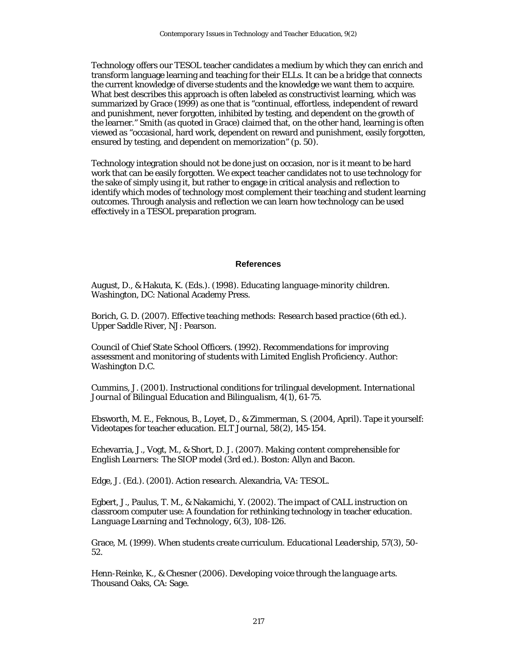Technology offers our TESOL teacher candidates a medium by which they can enrich and transform language learning and teaching for their ELLs. It can be a bridge that connects the current knowledge of diverse students and the knowledge we want them to acquire. What best describes this approach is often labeled as constructivist learning, which was summarized by Grace (1999) as one that is "continual, effortless, independent of reward and punishment, never forgotten, inhibited by testing, and dependent on the growth of the learner." Smith (as quoted in Grace) claimed that, on the other hand, learning is often viewed as "occasional, hard work, dependent on reward and punishment, easily forgotten, ensured by testing, and dependent on memorization" (p. 50).

Technology integration should not be done just on occasion, nor is it meant to be hard work that can be easily forgotten. We expect teacher candidates not to use technology for the sake of simply using it, but rather to engage in critical analysis and reflection to identify which modes of technology most complement their teaching and student learning outcomes. Through analysis and reflection we can learn how technology can be used effectively in a TESOL preparation program.

#### **References**

August, D., & Hakuta, K. (Eds.). (1998). *Educating language-minority children.* Washington, DC: National Academy Press.

Borich, G. D. (2007). *Effective teaching methods: Research based practice* (6th ed.). Upper Saddle River, NJ: Pearson.

Council of Chief State School Officers. (1992). *Recommendations for improving assessment and monitoring of students with Limited English Proficiency*. Author: Washington D.C.

Cummins, J. (2001). Instructional conditions for trilingual development. *International Journal of Bilingual Education and Bilingualism, 4*(1), 61-75.

Ebsworth, M. E., Feknous, B., Loyet, D., & Zimmerman, S. (2004, April). Tape it yourself: Videotapes for teacher education. *ELT Journal, 58*(2), 145-154.

Echevarria, J., Vogt, M., & Short, D. J. (2007). *Making content comprehensible for English Learners: The SIOP model* (3rd ed.). Boston: Allyn and Bacon.

Edge, J. (Ed.). (2001). *Action research.* Alexandria, VA: TESOL.

Egbert, J., Paulus, T. M., & Nakamichi, Y. (2002). The impact of CALL instruction on classroom computer use: A foundation for rethinking technology in teacher education*. Language Learning and Technology, 6*(3), 108-126.

Grace, M. (1999). When students create curriculum. *Educational Leadership, 57*(3), 50- 52.

Henn-Reinke, K., & Chesner (2006). *Developing voice through the language arts.* Thousand Oaks, CA: Sage.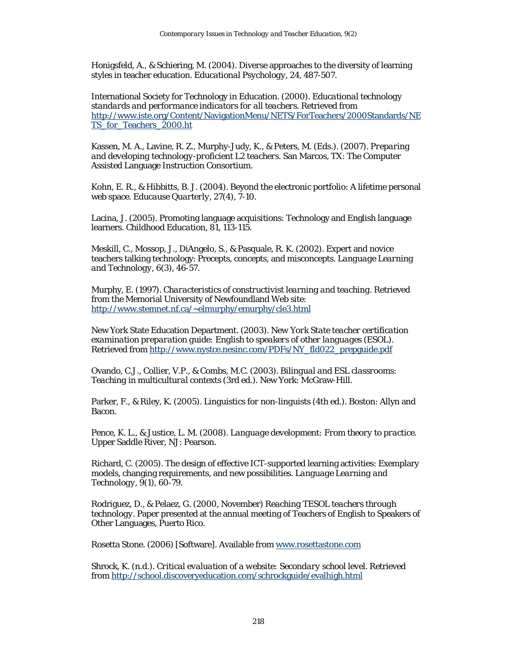Honigsfeld, A., & Schiering, M. (2004). Diverse approaches to the diversity of learning styles in teacher education. *Educational Psychology, 24,* 487-507.

International Society for Technology in Education. (2000). *Educational technology standards and performance indicators for all teachers.* Retrieved from http://www.iste.org/Content/NavigationMenu/NETS/ForTeachers/2000Standards/NE TS for Teachers 2000.ht

Kassen, M. A., Lavine, R. Z., Murphy-Judy, K., & Peters, M. (Eds.). (2007). *Preparing and developing technology-proficient L2 teachers.* San Marcos, TX: The Computer Assisted Language Instruction Consortium.

Kohn, E. R., & Hibbitts, B. J. (2004). Beyond the electronic portfolio: A lifetime personal web space. *Educause Quarterly, 27*(4), 7-10.

Lacina, J. (2005). Promoting language acquisitions: Technology and English language learners. *Childhood Education, 81*, 113-115.

Meskill, C., Mossop, J., DiAngelo, S., & Pasquale, R. K. (2002). Expert and novice teachers talking technology: Precepts, concepts, and misconcepts. *Language Learning and Technology, 6*(3), 46-57.

Murphy, E. (1997). *Characteristics of constructivist learning and teaching*. Retrieved from the Memorial University of Newfoundland Web site: http://www.stemnet.nf.ca/~elmurphy/emurphy/cle3.html

New York State Education Department. (2003). *New York State teacher certification examination preparation guide: English to speakers of other languages (ESOL).*  Retrieved from http://www.nystce.nesinc.com/PDFs/NY\_fld022\_prepguide.pdf

Ovando, C.J., Collier, V.P., & Combs, M.C. (2003). *Bilingual and ESL classrooms: Teaching in multicultural contexts* (3rd ed.). New York: McGraw-Hill.

Parker, F., & Riley, K. (2005). *Linguistics for non-linguists* (4th ed.). Boston: Allyn and Bacon.

Pence, K. L., & Justice, L. M. (2008). *Language development: From theory to practice.* Upper Saddle River, NJ: Pearson.

Richard, C. (2005). The design of effective ICT-supported learning activities: Exemplary models, changing requirements, and new possibilities. *Language Learning and Technology, 9*(1), 60-79.

Rodriguez, D., & Pelaez, G. (2000, November) *Reaching TESOL teachers through technology.* Paper presented at the annual meeting of Teachers of English to Speakers of Other Languages, Puerto Rico.

Rosetta Stone. (2006) [Software]. Available from www.rosettastone.com

Shrock, K. (n.d.). *Critical evaluation of a website: Secondary school level*. Retrieved from http://school.discoveryeducation.com/schrockguide/evalhigh.html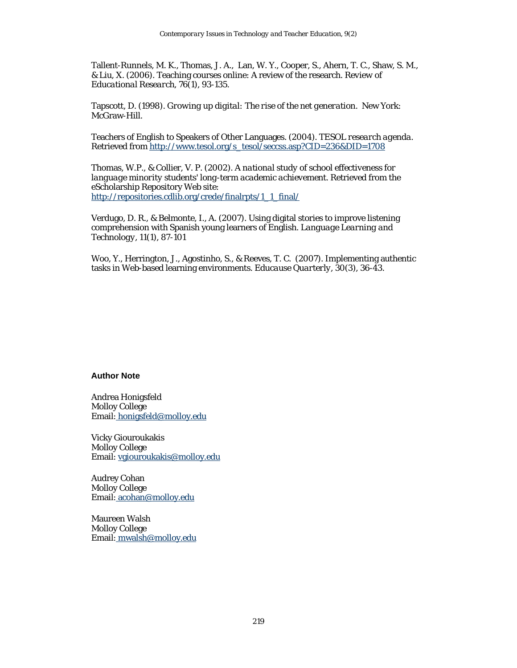Tallent-Runnels, M. K., Thomas, J. A., Lan, W. Y., Cooper, S., Ahern, T. C., Shaw, S. M., & Liu, X. (2006). Teaching courses online: A review of the research. *Review of Educational Research, 76*(1), 93-135.

Tapscott, D. (1998). *Growing up digital: The rise of the net generation*. New York: McGraw-Hill.

Teachers of English to Speakers of Other Languages. (2004). *TESOL research agenda*. Retrieved from http://www.tesol.org/s\_tesol/seccss.asp?CID=236&DID=1708

Thomas, W.P., & Collier, V. P. (2002). *A national study of school effectiveness for language minority students' long-term academic achievement.* Retrieved from the eScholarship Repository Web site: http://repositories.cdlib.org/crede/finalrpts/1\_1\_final/

Verdugo, D. R., & Belmonte, I., A. (2007). Using digital stories to improve listening comprehension with Spanish young learners of English. *Language Learning and Technology, 11*(1), 87-101

Woo, Y., Herrington, J., Agostinho, S., & Reeves, T. C. (2007). Implementing authentic tasks in Web-based learning environments. *Educause Quarterly, 30*(3), 36-43.

#### **Author Note**

Andrea Honigsfeld Molloy College Email: honigsfeld@molloy.edu

Vicky Giouroukakis Molloy College Email: vgiouroukakis@molloy.edu

Audrey Cohan Molloy College Email: acohan@molloy.edu

Maureen Walsh Molloy College Email: mwalsh@molloy.edu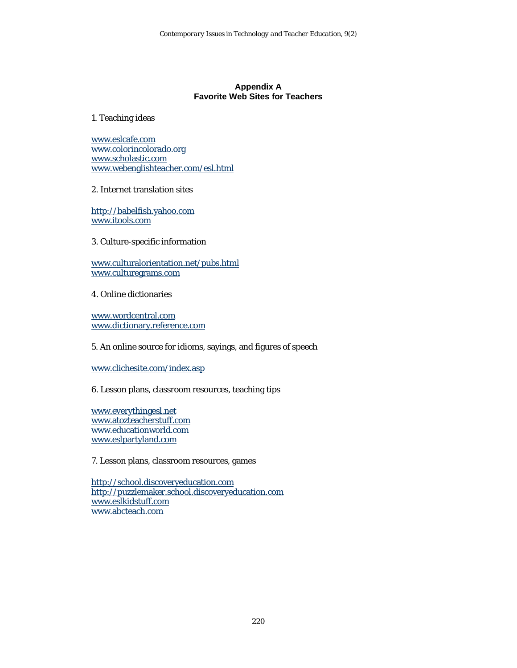## **Appendix A Favorite Web Sites for Teachers**

#### 1. Teaching ideas

www.eslcafe.com www.colorincolorado.org www.scholastic.com www.webenglishteacher.com/esl.html

#### 2. Internet translation sites

http://babelfish.yahoo.com www.itools.com

3. Culture-specific information

www.culturalorientation.net/pubs.html www.culturegrams.com

## 4. Online dictionaries

www.wordcentral.com www.dictionary.reference.com

#### 5. An online source for idioms, sayings, and figures of speech

www.clichesite.com/index.asp

#### 6. Lesson plans, classroom resources, teaching tips

www.everythingesl.net www.atozteacherstuff.com www.educationworld.com www.eslpartyland.com

7. Lesson plans, classroom resources, games

http://school.discoveryeducation.com http://puzzlemaker.school.discoveryeducation.com www.eslkidstuff.com www.abcteach.com